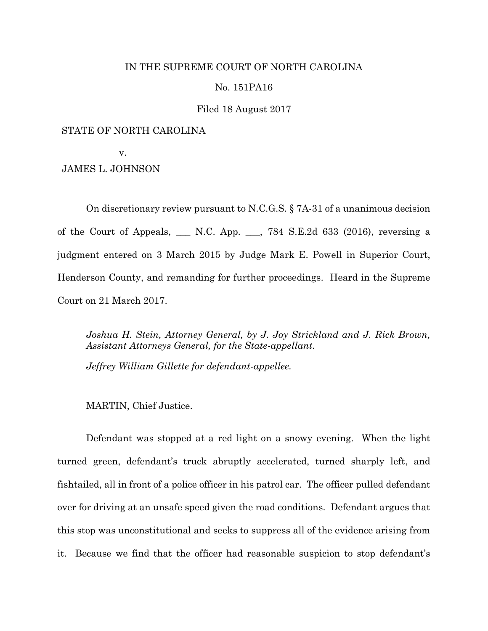# IN THE SUPREME COURT OF NORTH CAROLINA

# No. 151PA16

# Filed 18 August 2017

# STATE OF NORTH CAROLINA

v.

JAMES L. JOHNSON

On discretionary review pursuant to N.C.G.S. § 7A-31 of a unanimous decision of the Court of Appeals, \_\_\_ N.C. App. \_\_\_, 784 S.E.2d 633 (2016), reversing a judgment entered on 3 March 2015 by Judge Mark E. Powell in Superior Court, Henderson County, and remanding for further proceedings. Heard in the Supreme Court on 21 March 2017.

*Joshua H. Stein, Attorney General, by J. Joy Strickland and J. Rick Brown, Assistant Attorneys General, for the State-appellant.*

*Jeffrey William Gillette for defendant-appellee.*

MARTIN, Chief Justice.

Defendant was stopped at a red light on a snowy evening. When the light turned green, defendant's truck abruptly accelerated, turned sharply left, and fishtailed, all in front of a police officer in his patrol car. The officer pulled defendant over for driving at an unsafe speed given the road conditions. Defendant argues that this stop was unconstitutional and seeks to suppress all of the evidence arising from it. Because we find that the officer had reasonable suspicion to stop defendant's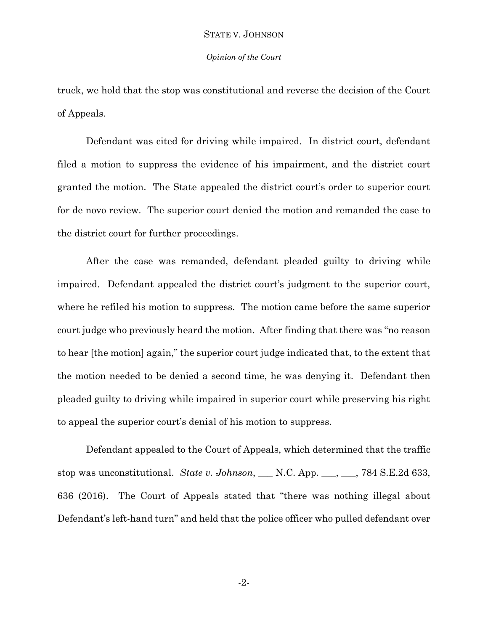#### *Opinion of the Court*

truck, we hold that the stop was constitutional and reverse the decision of the Court of Appeals.

Defendant was cited for driving while impaired. In district court, defendant filed a motion to suppress the evidence of his impairment, and the district court granted the motion. The State appealed the district court's order to superior court for de novo review. The superior court denied the motion and remanded the case to the district court for further proceedings.

After the case was remanded, defendant pleaded guilty to driving while impaired. Defendant appealed the district court's judgment to the superior court, where he refiled his motion to suppress. The motion came before the same superior court judge who previously heard the motion. After finding that there was "no reason to hear [the motion] again," the superior court judge indicated that, to the extent that the motion needed to be denied a second time, he was denying it. Defendant then pleaded guilty to driving while impaired in superior court while preserving his right to appeal the superior court's denial of his motion to suppress.

Defendant appealed to the Court of Appeals, which determined that the traffic stop was unconstitutional. *State v. Johnson*, \_\_\_ N.C. App. \_\_\_, \_\_\_, 784 S.E.2d 633, 636 (2016). The Court of Appeals stated that "there was nothing illegal about Defendant's left-hand turn" and held that the police officer who pulled defendant over

-2-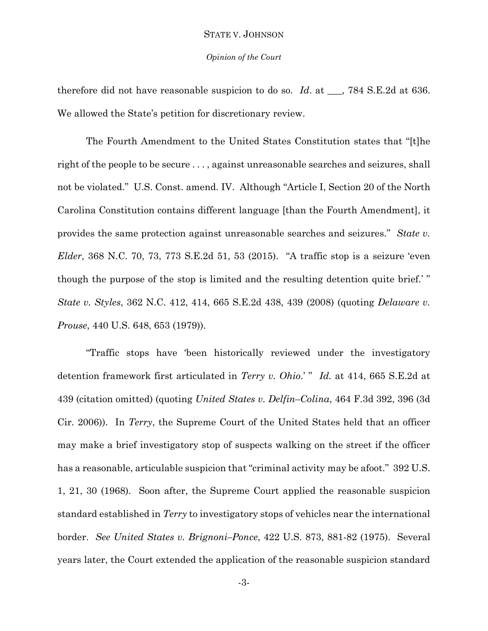#### *Opinion of the Court*

therefore did not have reasonable suspicion to do so. *Id*. at \_\_\_, 784 S.E.2d at 636. We allowed the State's petition for discretionary review.

The Fourth Amendment to the United States Constitution states that "[t]he right of the people to be secure . . . , against unreasonable searches and seizures, shall not be violated." U.S. Const. amend. IV. Although "Article I, Section 20 of the North Carolina Constitution contains different language [than the Fourth Amendment], it provides the same protection against unreasonable searches and seizures." *State v. Elder*, 368 N.C. 70, 73, 773 S.E.2d 51, 53 (2015). "A traffic stop is a seizure 'even though the purpose of the stop is limited and the resulting detention quite brief.' " *State v. Styles*, 362 N.C. 412, 414, 665 S.E.2d 438, 439 (2008) (quoting *Delaware v. Prouse*, 440 U.S. 648, 653 (1979)).

"Traffic stops have 'been historically reviewed under the investigatory detention framework first articulated in *Terry v. Ohio*.' " *Id.* at 414, 665 S.E.2d at 439 (citation omitted) (quoting *United States v. Delfin–Colina*, 464 F.3d 392, 396 (3d Cir. 2006)). In *Terry*, the Supreme Court of the United States held that an officer may make a brief investigatory stop of suspects walking on the street if the officer has a reasonable, articulable suspicion that "criminal activity may be afoot." 392 U.S. 1, 21, 30 (1968). Soon after, the Supreme Court applied the reasonable suspicion standard established in *Terry* to investigatory stops of vehicles near the international border. *See United States v. Brignoni–Ponce*, 422 U.S. 873, 881-82 (1975). Several years later, the Court extended the application of the reasonable suspicion standard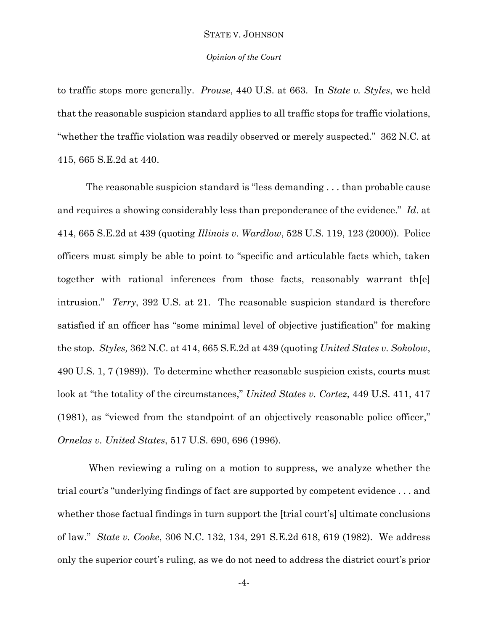## *Opinion of the Court*

to traffic stops more generally. *Prouse*, 440 U.S. at 663. In *State v. Styles*, we held that the reasonable suspicion standard applies to all traffic stops for traffic violations, "whether the traffic violation was readily observed or merely suspected." 362 N.C. at 415, 665 S.E.2d at 440.

The reasonable suspicion standard is "less demanding . . . than probable cause and requires a showing considerably less than preponderance of the evidence." *Id*. at 414, 665 S.E.2d at 439 (quoting *Illinois v. Wardlow*, 528 U.S. 119, 123 (2000)). Police officers must simply be able to point to "specific and articulable facts which, taken together with rational inferences from those facts, reasonably warrant th[e] intrusion." *Terry*, 392 U.S. at 21. The reasonable suspicion standard is therefore satisfied if an officer has "some minimal level of objective justification" for making the stop. *Styles,* 362 N.C. at 414, 665 S.E.2d at 439 (quoting *United States v. Sokolow*, 490 U.S. 1, 7 (1989)). To determine whether reasonable suspicion exists, courts must look at "the totality of the circumstances," *United States v. Cortez*, 449 U.S. 411, 417 (1981), as "viewed from the standpoint of an objectively reasonable police officer," *Ornelas v. United States*, 517 U.S. 690, 696 (1996).

When reviewing a ruling on a motion to suppress, we analyze whether the trial court's "underlying findings of fact are supported by competent evidence . . . and whether those factual findings in turn support the [trial court's] ultimate conclusions of law." *State v. Cooke*, 306 N.C. 132, 134, 291 S.E.2d 618, 619 (1982). We address only the superior court's ruling, as we do not need to address the district court's prior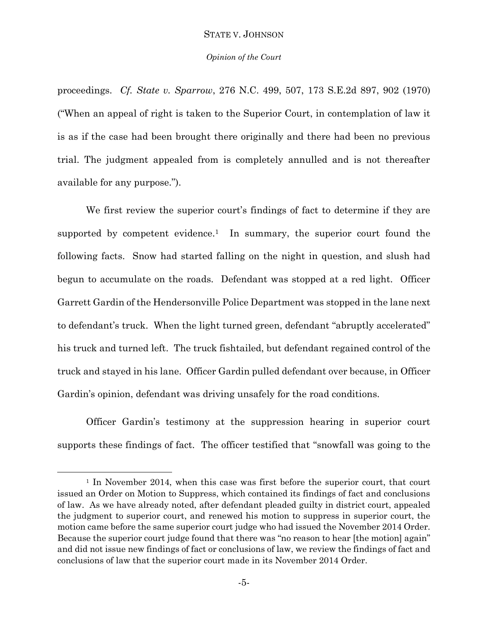#### *Opinion of the Court*

proceedings. *Cf. State v. Sparrow*, 276 N.C. 499, 507, 173 S.E.2d 897, 902 (1970) ("When an appeal of right is taken to the Superior Court, in contemplation of law it is as if the case had been brought there originally and there had been no previous trial. The judgment appealed from is completely annulled and is not thereafter available for any purpose.").

We first review the superior court's findings of fact to determine if they are supported by competent evidence.<sup>1</sup> In summary, the superior court found the following facts. Snow had started falling on the night in question, and slush had begun to accumulate on the roads. Defendant was stopped at a red light. Officer Garrett Gardin of the Hendersonville Police Department was stopped in the lane next to defendant's truck. When the light turned green, defendant "abruptly accelerated" his truck and turned left. The truck fishtailed, but defendant regained control of the truck and stayed in his lane. Officer Gardin pulled defendant over because, in Officer Gardin's opinion, defendant was driving unsafely for the road conditions.

Officer Gardin's testimony at the suppression hearing in superior court supports these findings of fact. The officer testified that "snowfall was going to the

l

<sup>&</sup>lt;sup>1</sup> In November 2014, when this case was first before the superior court, that court issued an Order on Motion to Suppress, which contained its findings of fact and conclusions of law. As we have already noted, after defendant pleaded guilty in district court, appealed the judgment to superior court, and renewed his motion to suppress in superior court, the motion came before the same superior court judge who had issued the November 2014 Order. Because the superior court judge found that there was "no reason to hear [the motion] again" and did not issue new findings of fact or conclusions of law, we review the findings of fact and conclusions of law that the superior court made in its November 2014 Order.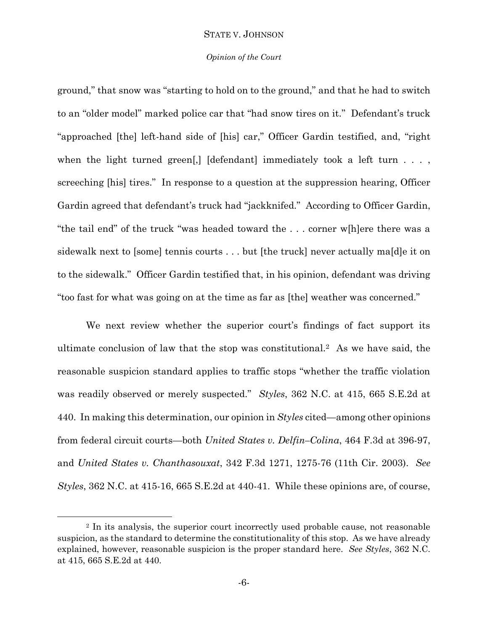#### *Opinion of the Court*

ground," that snow was "starting to hold on to the ground," and that he had to switch to an "older model" marked police car that "had snow tires on it." Defendant's truck "approached [the] left-hand side of [his] car," Officer Gardin testified, and, "right when the light turned green[,] [defendant] immediately took a left turn  $\dots$ , screeching [his] tires." In response to a question at the suppression hearing, Officer Gardin agreed that defendant's truck had "jackknifed." According to Officer Gardin, "the tail end" of the truck "was headed toward the . . . corner w[h]ere there was a sidewalk next to [some] tennis courts . . . but [the truck] never actually ma[d]e it on to the sidewalk." Officer Gardin testified that, in his opinion, defendant was driving "too fast for what was going on at the time as far as [the] weather was concerned."

We next review whether the superior court's findings of fact support its ultimate conclusion of law that the stop was constitutional.2 As we have said, the reasonable suspicion standard applies to traffic stops "whether the traffic violation was readily observed or merely suspected." *Styles*, 362 N.C. at 415, 665 S.E.2d at 440. In making this determination, our opinion in *Styles* cited—among other opinions from federal circuit courts—both *United States v. Delfin–Colina*, 464 F.3d at 396-97, and *United States v. Chanthasouxat*, 342 F.3d 1271, 1275-76 (11th Cir. 2003). *See Styles*, 362 N.C. at 415-16, 665 S.E.2d at 440-41. While these opinions are, of course,

l

<sup>2</sup> In its analysis, the superior court incorrectly used probable cause, not reasonable suspicion, as the standard to determine the constitutionality of this stop. As we have already explained, however, reasonable suspicion is the proper standard here. *See Styles*, 362 N.C. at 415, 665 S.E.2d at 440.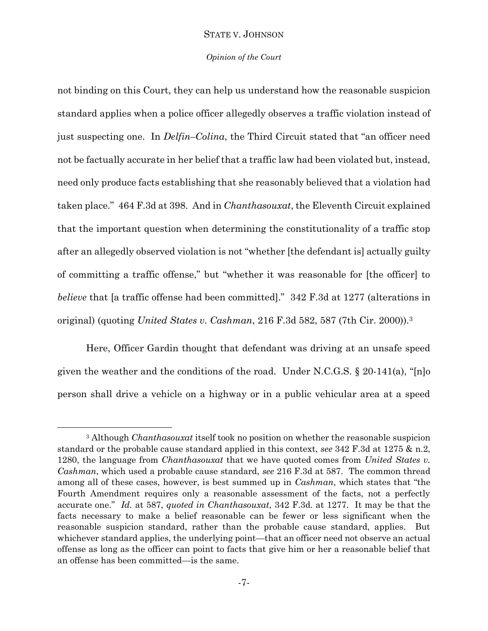#### *Opinion of the Court*

not binding on this Court, they can help us understand how the reasonable suspicion standard applies when a police officer allegedly observes a traffic violation instead of just suspecting one. In *Delfin–Colina*, the Third Circuit stated that "an officer need not be factually accurate in her belief that a traffic law had been violated but, instead, need only produce facts establishing that she reasonably believed that a violation had taken place." 464 F.3d at 398. And in *Chanthasouxat*, the Eleventh Circuit explained that the important question when determining the constitutionality of a traffic stop after an allegedly observed violation is not "whether [the defendant is] actually guilty of committing a traffic offense," but "whether it was reasonable for [the officer] to *believe* that [a traffic offense had been committed]." 342 F.3d at 1277 (alterations in original) (quoting *United States v. Cashman*, 216 F.3d 582, 587 (7th Cir. 2000)).<sup>3</sup>

Here, Officer Gardin thought that defendant was driving at an unsafe speed given the weather and the conditions of the road. Under N.C.G.S. § 20-141(a), "[n]o person shall drive a vehicle on a highway or in a public vehicular area at a speed

l

<sup>3</sup> Although *Chanthasouxat* itself took no position on whether the reasonable suspicion standard or the probable cause standard applied in this context, *see* 342 F.3d at 1275 & n.2, 1280, the language from *Chanthasouxat* that we have quoted comes from *United States v. Cashman*, which used a probable cause standard, *see* 216 F.3d at 587. The common thread among all of these cases, however, is best summed up in *Cashman*, which states that "the Fourth Amendment requires only a reasonable assessment of the facts, not a perfectly accurate one." *Id.* at 587, *quoted in Chanthasouxat*, 342 F.3d. at 1277. It may be that the facts necessary to make a belief reasonable can be fewer or less significant when the reasonable suspicion standard, rather than the probable cause standard, applies. But whichever standard applies, the underlying point—that an officer need not observe an actual offense as long as the officer can point to facts that give him or her a reasonable belief that an offense has been committed—is the same.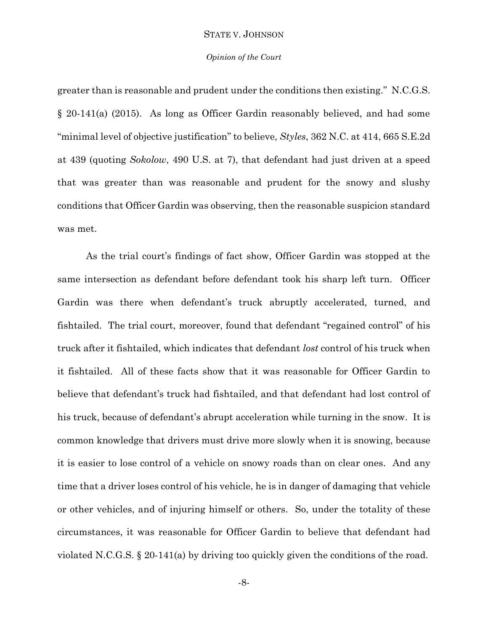#### *Opinion of the Court*

greater than is reasonable and prudent under the conditions then existing." N.C.G.S. § 20-141(a) (2015). As long as Officer Gardin reasonably believed, and had some "minimal level of objective justification" to believe, *Styles*, 362 N.C. at 414, 665 S.E.2d at 439 (quoting *Sokolow*, 490 U.S. at 7), that defendant had just driven at a speed that was greater than was reasonable and prudent for the snowy and slushy conditions that Officer Gardin was observing, then the reasonable suspicion standard was met.

As the trial court's findings of fact show, Officer Gardin was stopped at the same intersection as defendant before defendant took his sharp left turn. Officer Gardin was there when defendant's truck abruptly accelerated, turned, and fishtailed. The trial court, moreover, found that defendant "regained control" of his truck after it fishtailed, which indicates that defendant *lost* control of his truck when it fishtailed. All of these facts show that it was reasonable for Officer Gardin to believe that defendant's truck had fishtailed, and that defendant had lost control of his truck, because of defendant's abrupt acceleration while turning in the snow. It is common knowledge that drivers must drive more slowly when it is snowing, because it is easier to lose control of a vehicle on snowy roads than on clear ones. And any time that a driver loses control of his vehicle, he is in danger of damaging that vehicle or other vehicles, and of injuring himself or others. So, under the totality of these circumstances, it was reasonable for Officer Gardin to believe that defendant had violated N.C.G.S. § 20-141(a) by driving too quickly given the conditions of the road.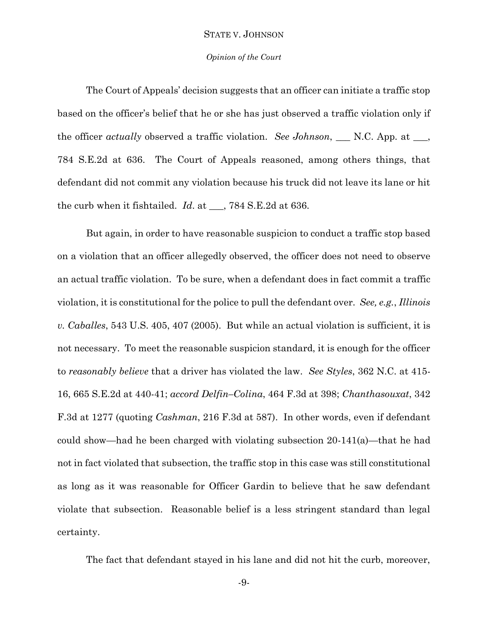#### *Opinion of the Court*

The Court of Appeals' decision suggests that an officer can initiate a traffic stop based on the officer's belief that he or she has just observed a traffic violation only if the officer *actually* observed a traffic violation. *See Johnson*, \_\_\_ N.C. App. at \_\_\_, 784 S.E.2d at 636. The Court of Appeals reasoned, among others things, that defendant did not commit any violation because his truck did not leave its lane or hit the curb when it fishtailed. *Id*. at \_\_\_, 784 S.E.2d at 636.

But again, in order to have reasonable suspicion to conduct a traffic stop based on a violation that an officer allegedly observed, the officer does not need to observe an actual traffic violation. To be sure, when a defendant does in fact commit a traffic violation, it is constitutional for the police to pull the defendant over. *See, e.g.*, *Illinois v. Caballes*, 543 U.S. 405, 407 (2005). But while an actual violation is sufficient, it is not necessary. To meet the reasonable suspicion standard, it is enough for the officer to *reasonably believe* that a driver has violated the law. *See Styles*, 362 N.C. at 415- 16, 665 S.E.2d at 440-41; *accord Delfin–Colina*, 464 F.3d at 398; *Chanthasouxat*, 342 F.3d at 1277 (quoting *Cashman*, 216 F.3d at 587). In other words, even if defendant could show—had he been charged with violating subsection 20-141(a)—that he had not in fact violated that subsection, the traffic stop in this case was still constitutional as long as it was reasonable for Officer Gardin to believe that he saw defendant violate that subsection. Reasonable belief is a less stringent standard than legal certainty.

The fact that defendant stayed in his lane and did not hit the curb, moreover,